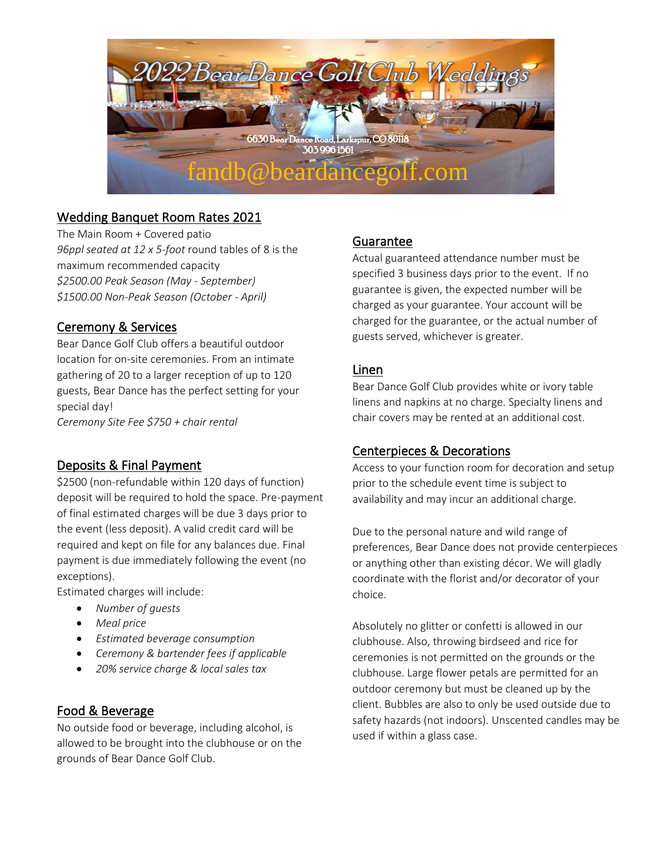

# Wedding Banquet Room Rates 2021

The Main Room + Covered patio *96ppl seated at 12 x 5-foot* round tables of 8 is the maximum recommended capacity *\$2500.00 Peak Season (May - September) \$1500.00 Non-Peak Season (October - April)*

# Ceremony & Services

Bear Dance Golf Club offers a beautiful outdoor location for on-site ceremonies. From an intimate gathering of 20 to a larger reception of up to 120 guests, Bear Dance has the perfect setting for your special day! *Ceremony Site Fee \$750 + chair rental*

# Deposits & Final Payment

\$2500 (non-refundable within 120 days of function) deposit will be required to hold the space. Pre-payment of final estimated charges will be due 3 days prior to the event (less deposit). A valid credit card will be required and kept on file for any balances due. Final payment is due immediately following the event (no exceptions).

Estimated charges will include:

- *Number of guests*
- *Meal price*
- *Estimated beverage consumption*
- *Ceremony & bartender fees if applicable*
- *20% service charge & local sales tax*

## Food & Beverage

No outside food or beverage, including alcohol, is allowed to be brought into the clubhouse or on the grounds of Bear Dance Golf Club.

# Guarantee

Actual guaranteed attendance number must be specified 3 business days prior to the event. If no guarantee is given, the expected number will be charged as your guarantee. Your account will be charged for the guarantee, or the actual number of guests served, whichever is greater.

## Linen

Bear Dance Golf Club provides white or ivory table linens and napkins at no charge. Specialty linens and chair covers may be rented at an additional cost.

# Centerpieces & Decorations

Access to your function room for decoration and setup prior to the schedule event time is subject to availability and may incur an additional charge.

Due to the personal nature and wild range of preferences, Bear Dance does not provide centerpieces or anything other than existing décor. We will gladly coordinate with the florist and/or decorator of your choice.

Absolutely no glitter or confetti is allowed in our clubhouse. Also, throwing birdseed and rice for ceremonies is not permitted on the grounds or the clubhouse. Large flower petals are permitted for an outdoor ceremony but must be cleaned up by the client. Bubbles are also to only be used outside due to safety hazards (not indoors). Unscented candles may be used if within a glass case.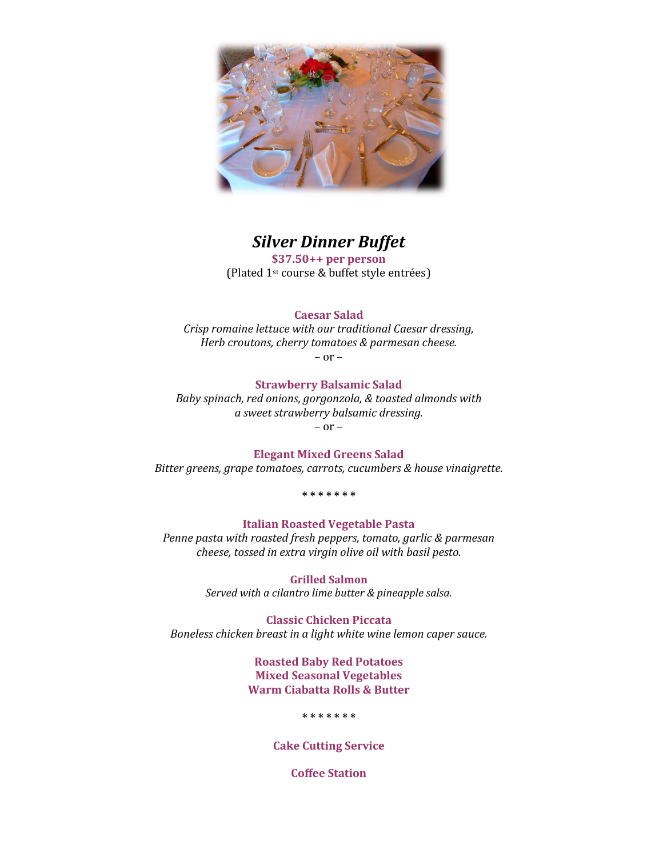

# *Silver Dinner Buffet*

**\$37.50++ per person**  (Plated 1st course & buffet style entrées)

## **Caesar Salad**

*Crisp romaine lettuce with our traditional Caesar dressing, Herb croutons, cherry tomatoes & parmesan cheese.*

– or –

## **Strawberry Balsamic Salad**

*Baby spinach, red onions, gorgonzola, & toasted almonds with a sweet strawberry balsamic dressing.* – or –

**Elegant Mixed Greens Salad**

*Bitter greens, grape tomatoes, carrots, cucumbers & house vinaigrette.*

**\* \* \* \* \* \* \***

#### **Italian Roasted Vegetable Pasta**

*Penne pasta with roasted fresh peppers, tomato, garlic & parmesan cheese, tossed in extra virgin olive oil with basil pesto.*

> **Grilled Salmon** *Served with a cilantro lime butter & pineapple salsa.*

**Classic Chicken Piccata** *Boneless chicken breast in a light white wine lemon caper sauce.*

> **Roasted Baby Red Potatoes Mixed Seasonal Vegetables Warm Ciabatta Rolls & Butter**

> > **\* \* \* \* \* \* \***

**Cake Cutting Service**

**Coffee Station**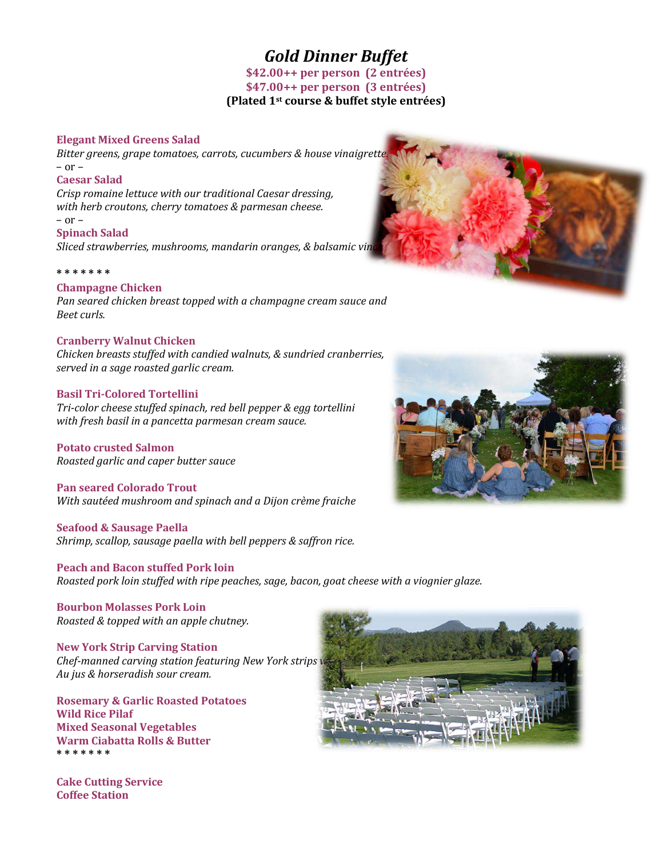# *Gold Dinner Buffet*

**\$42.00++ per person (2 entrées) \$47.00++ per person (3 entrées) (Plated 1st course & buffet style entrées)**

## **Elegant Mixed Greens Salad**

*Bitter greens, grape tomatoes, carrots, cucumbers & house vinaigrette.* – or –

#### **Caesar Salad**

*Crisp romaine lettuce with our traditional Caesar dressing, with herb croutons, cherry tomatoes & parmesan cheese.*

#### – or –

**Spinach Salad**

*Sliced strawberries, mushrooms, mandarin oranges, & balsamic vin* 

#### **\* \* \* \* \* \* \***

#### **Champagne Chicken**

*Pan seared chicken breast topped with a champagne cream sauce and Beet curls.*

#### **Cranberry Walnut Chicken**

*Chicken breasts stuffed with candied walnuts, & sundried cranberries, served in a sage roasted garlic cream.*

#### **Basil Tri-Colored Tortellini**

*Tri-color cheese stuffed spinach, red bell pepper & egg tortellini with fresh basil in a pancetta parmesan cream sauce.*

**Potato crusted Salmon** *Roasted garlic and caper butter sauce*

**Pan seared Colorado Trout** *With sautéed mushroom and spinach and a Dijon crème fraiche*

**Seafood & Sausage Paella** *Shrimp, scallop, sausage paella with bell peppers & saffron rice.*

**Peach and Bacon stuffed Pork loin** *Roasted pork loin stuffed with ripe peaches, sage, bacon, goat cheese with a viognier glaze.*

**Bourbon Molasses Pork Loin** *Roasted & topped with an apple chutney.*

## **New York Strip Carving Station**

*Chef-manned carving station featuring New York strips w Au jus & horseradish sour cream.*

**Rosemary & Garlic Roasted Potatoes Wild Rice Pilaf Mixed Seasonal Vegetables Warm Ciabatta Rolls & Butter \* \* \* \* \* \* \***







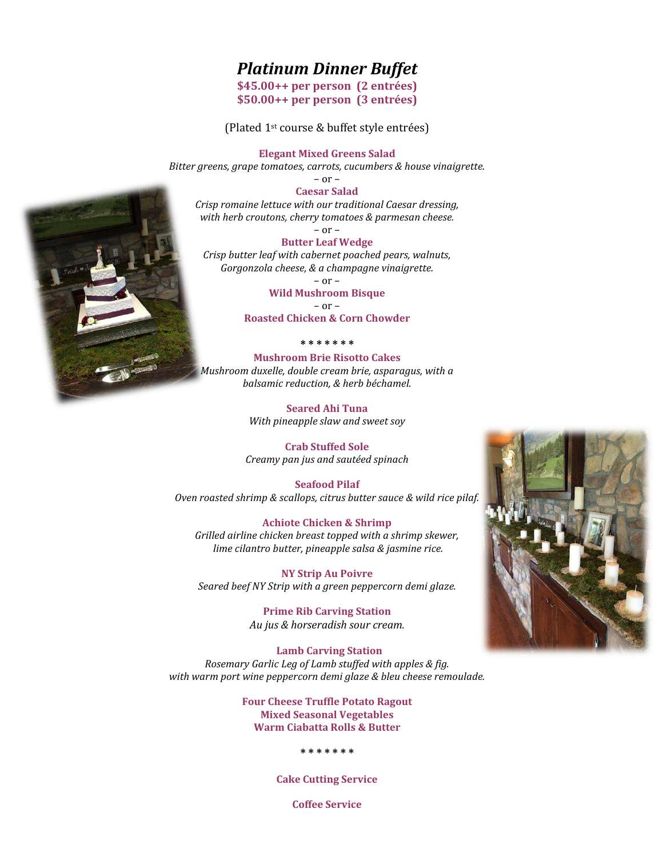# *Platinum Dinner Buffet*

**\$45.00++ per person (2 entrées) \$50.00++ per person (3 entrées)**

(Plated 1st course & buffet style entrées)

**Elegant Mixed Greens Salad**

*Bitter greens, grape tomatoes, carrots, cucumbers & house vinaigrette.*

 $-$  or  $-$ 

**Caesar Salad** *Crisp romaine lettuce with our traditional Caesar dressing, with herb croutons, cherry tomatoes & parmesan cheese.*

– or –

**Butter Leaf Wedge**  *Crisp butter leaf with cabernet poached pears, walnuts, Gorgonzola cheese, & a champagne vinaigrette.*

 $-$  or  $-$ 

**Wild Mushroom Bisque** – or –

**Roasted Chicken & Corn Chowder**

**\* \* \* \* \* \* \***

**Mushroom Brie Risotto Cakes** *Mushroom duxelle, double cream brie, asparagus, with a balsamic reduction, & herb béchamel.*

> **Seared Ahi Tuna** *With pineapple slaw and sweet soy*

**Crab Stuffed Sole** *Creamy pan jus and sautéed spinach*

**Seafood Pilaf** *Oven roasted shrimp & scallops, citrus butter sauce & wild rice pilaf.*

**Achiote Chicken & Shrimp** *Grilled airline chicken breast topped with a shrimp skewer, lime cilantro butter, pineapple salsa & jasmine rice.*

**NY Strip Au Poivre** *Seared beef NY Strip with a green peppercorn demi glaze.*

> **Prime Rib Carving Station** *Au jus & horseradish sour cream.*

 **Lamb Carving Station** *Rosemary Garlic Leg of Lamb stuffed with apples & fig. with warm port wine peppercorn demi glaze & bleu cheese remoulade.*

> **Four Cheese Truffle Potato Ragout Mixed Seasonal Vegetables Warm Ciabatta Rolls & Butter**

> > **\* \* \* \* \* \* \***

**Cake Cutting Service**

**Coffee Service**



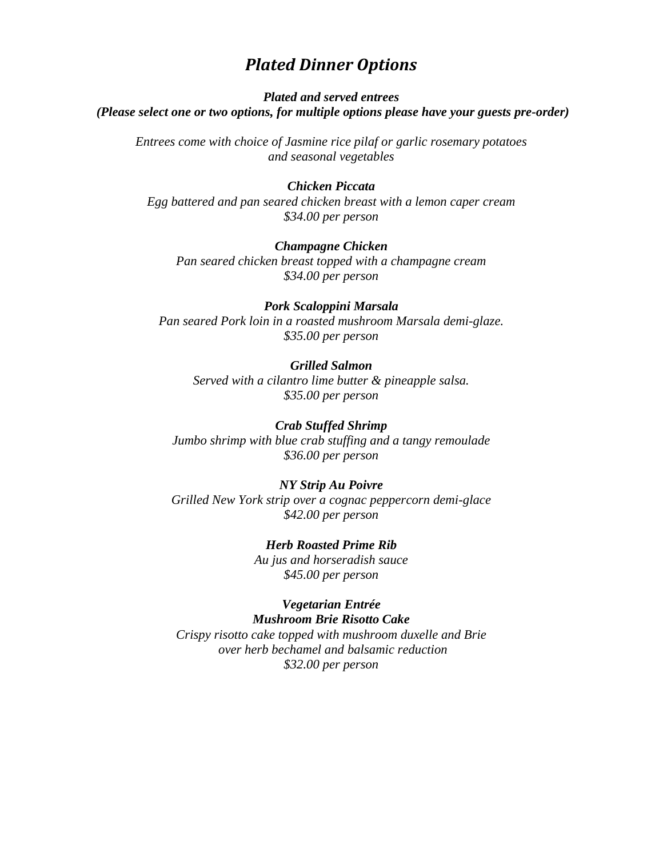# *Plated Dinner Options*

## *Plated and served entrees (Please select one or two options, for multiple options please have your guests pre-order)*

*Entrees come with choice of Jasmine rice pilaf or garlic rosemary potatoes and seasonal vegetables*

## *Chicken Piccata*

*Egg battered and pan seared chicken breast with a lemon caper cream \$34.00 per person*

## *Champagne Chicken*

*Pan seared chicken breast topped with a champagne cream \$34.00 per person*

## *Pork Scaloppini Marsala*

*Pan seared Pork loin in a roasted mushroom Marsala demi-glaze. \$35.00 per person*

#### *Grilled Salmon*

*Served with a cilantro lime butter & pineapple salsa. \$35.00 per person*

#### *Crab Stuffed Shrimp*

*Jumbo shrimp with blue crab stuffing and a tangy remoulade \$36.00 per person*

#### *NY Strip Au Poivre*

*Grilled New York strip over a cognac peppercorn demi-glace \$42.00 per person*

# *Herb Roasted Prime Rib*

*Au jus and horseradish sauce \$45.00 per person*

#### *Vegetarian Entrée Mushroom Brie Risotto Cake*

*Crispy risotto cake topped with mushroom duxelle and Brie over herb bechamel and balsamic reduction \$32.00 per person*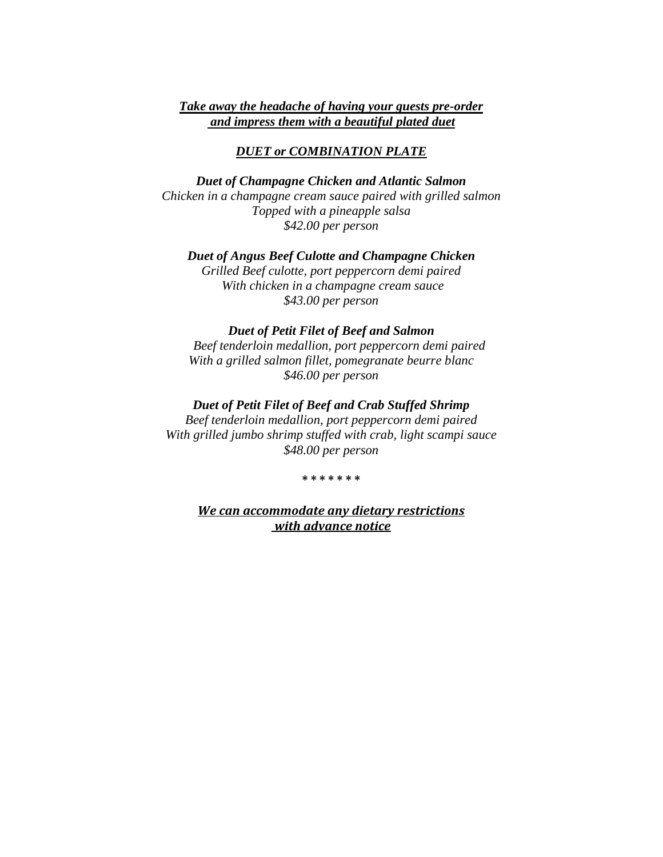## *Take away the headache of having your guests pre-order and impress them with a beautiful plated duet*

## *DUET or COMBINATION PLATE*

*Duet of Champagne Chicken and Atlantic Salmon Chicken in a champagne cream sauce paired with grilled salmon Topped with a pineapple salsa \$42.00 per person*

*Duet of Angus Beef Culotte and Champagne Chicken Grilled Beef culotte, port peppercorn demi paired With chicken in a champagne cream sauce \$43.00 per person*

#### *Duet of Petit Filet of Beef and Salmon*

 *Beef tenderloin medallion, port peppercorn demi paired With a grilled salmon fillet, pomegranate beurre blanc \$46.00 per person*

## *Duet of Petit Filet of Beef and Crab Stuffed Shrimp*

*Beef tenderloin medallion, port peppercorn demi paired With grilled jumbo shrimp stuffed with crab, light scampi sauce \$48.00 per person*

#### **\* \* \* \* \* \* \***

*We can accommodate any dietary restrictions with advance notice*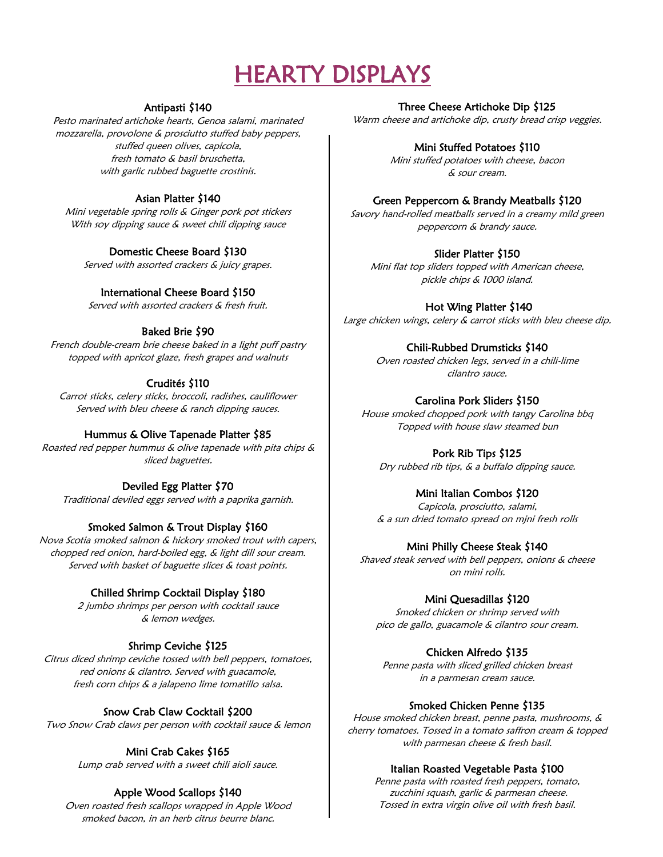# HEARTY DISPLAYS

## Antipasti \$140

Pesto marinated artichoke hearts, Genoa salami, marinated mozzarella, provolone & prosciutto stuffed baby peppers, stuffed queen olives, capicola, fresh tomato & basil bruschetta, with garlic rubbed baguette crostinis.

## Asian Platter \$140

Mini vegetable spring rolls & Ginger pork pot stickers With soy dipping sauce & sweet chili dipping sauce

## Domestic Cheese Board \$130

Served with assorted crackers & juicy grapes.

## International Cheese Board \$150

Served with assorted crackers & fresh fruit.

## Baked Brie \$90

French double-cream brie cheese baked in a light puff pastry topped with apricot glaze, fresh grapes and walnuts

## Crudités \$110

Carrot sticks, celery sticks, broccoli, radishes, cauliflower Served with bleu cheese & ranch dipping sauces.

## Hummus & Olive Tapenade Platter \$85

Roasted red pepper hummus & olive tapenade with pita chips & sliced baguettes.

## Deviled Egg Platter \$70

Traditional deviled eggs served with a paprika garnish.

## Smoked Salmon & Trout Display \$160

Nova Scotia smoked salmon & hickory smoked trout with capers, chopped red onion, hard-boiled egg, & light dill sour cream. Served with basket of baguette slices & toast points.

## Chilled Shrimp Cocktail Display \$180

2 jumbo shrimps per person with cocktail sauce & lemon wedges.

## Shrimp Ceviche \$125

Citrus diced shrimp ceviche tossed with bell peppers, tomatoes, red onions & cilantro. Served with guacamole, fresh corn chips & a jalapeno lime tomatillo salsa.

## Snow Crab Claw Cocktail \$200

Two Snow Crab claws per person with cocktail sauce & lemon

## Mini Crab Cakes \$165

Lump crab served with a sweet chili aioli sauce.

## Apple Wood Scallops \$140

Oven roasted fresh scallops wrapped in Apple Wood smoked bacon, in an herb citrus beurre blanc.

## Three Cheese Artichoke Dip \$125

Warm cheese and artichoke dip, crusty bread crisp veggies.

## Mini Stuffed Potatoes \$110

Mini stuffed potatoes with cheese, bacon & sour cream.

## Green Peppercorn & Brandy Meatballs \$120

Savory hand-rolled meatballs served in a creamy mild green peppercorn & brandy sauce.

## Slider Platter \$150

Mini flat top sliders topped with American cheese, pickle chips & 1000 island.

## Hot Wing Platter \$140

Large chicken wings, celery & carrot sticks with bleu cheese dip.

## Chili-Rubbed Drumsticks \$140

Oven roasted chicken legs, served in a chili-lime cilantro sauce.

## Carolina Pork Sliders \$150

House smoked chopped pork with tangy Carolina bbq Topped with house slaw steamed bun

## Pork Rib Tips \$125

Dry rubbed rib tips, & a buffalo dipping sauce.

## Mini Italian Combos \$120

Capicola, prosciutto, salami, & a sun dried tomato spread on mjni fresh rolls

## Mini Philly Cheese Steak \$140

Shaved steak served with bell peppers, onions & cheese on mini rolls.

## Mini Quesadillas \$120

Smoked chicken or shrimp served with pico de gallo, guacamole & cilantro sour cream.

## Chicken Alfredo \$135

Penne pasta with sliced grilled chicken breast in a parmesan cream sauce.

## Smoked Chicken Penne \$135

House smoked chicken breast, penne pasta, mushrooms, & cherry tomatoes. Tossed in a tomato saffron cream & topped with parmesan cheese & fresh basil.

## Italian Roasted Vegetable Pasta \$100

Penne pasta with roasted fresh peppers, tomato, zucchini squash, garlic & parmesan cheese. Tossed in extra virgin olive oil with fresh basil.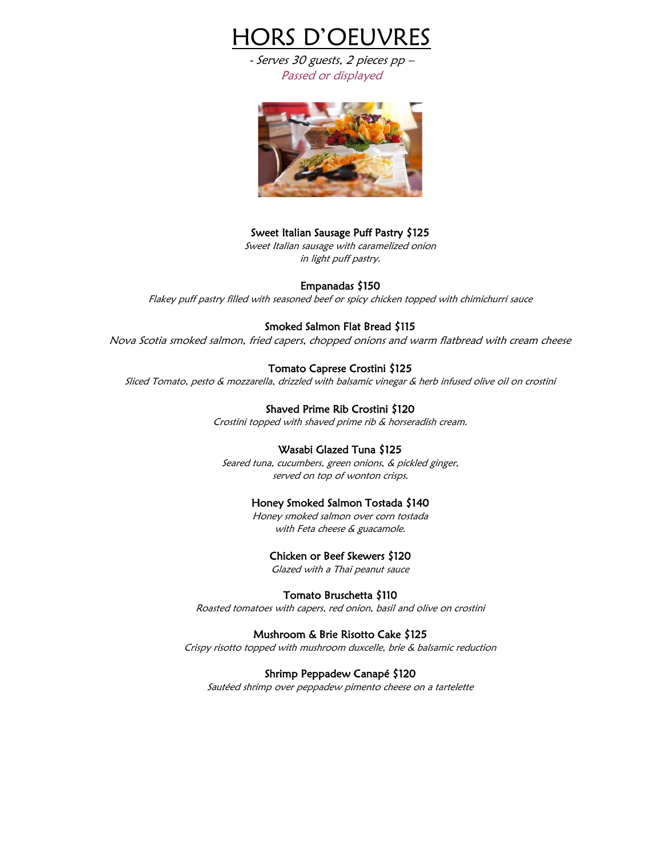

- Serves 30 guests, 2 pieces pp – Passed or displayed



#### Sweet Italian Sausage Puff Pastry \$125

Sweet Italian sausage with caramelized onion in light puff pastry.

#### Empanadas \$150

Flakey puff pastry filled with seasoned beef or spicy chicken topped with chimichurri sauce

#### Smoked Salmon Flat Bread \$115

Nova Scotia smoked salmon, fried capers, chopped onions and warm flatbread with cream cheese

#### Tomato Caprese Crostini \$125

Sliced Tomato, pesto & mozzarella, drizzled with balsamic vinegar & herb infused olive oil on crostini

#### Shaved Prime Rib Crostini \$120

Crostini topped with shaved prime rib & horseradish cream.

#### Wasabi Glazed Tuna \$125

Seared tuna, cucumbers, green onions, & pickled ginger, served on top of wonton crisps.

#### Honey Smoked Salmon Tostada \$140

Honey smoked salmon over corn tostada with Feta cheese & guacamole.

#### Chicken or Beef Skewers \$120

Glazed with a Thai peanut sauce

#### Tomato Bruschetta \$110

Roasted tomatoes with capers, red onion, basil and olive on crostini

#### Mushroom & Brie Risotto Cake \$125

Crispy risotto topped with mushroom duxcelle, brie & balsamic reduction

#### Shrimp Peppadew Canapé \$120

Sautéed shrimp over peppadew pimento cheese on a tartelette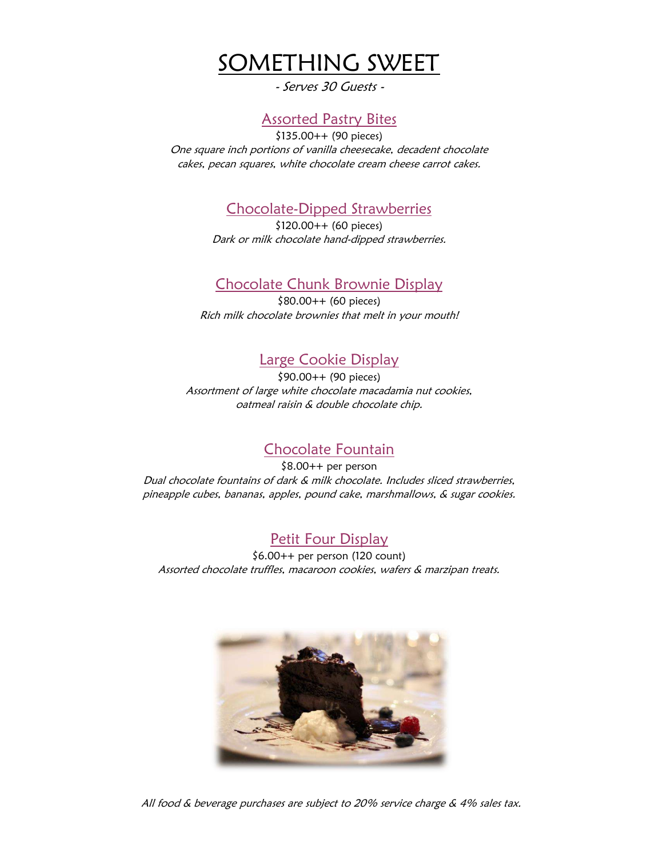

- Serves 30 Guests -

# Assorted Pastry Bites

\$135.00++ (90 pieces) One square inch portions of vanilla cheesecake, decadent chocolate cakes, pecan squares, white chocolate cream cheese carrot cakes.

# Chocolate-Dipped Strawberries

\$120.00++ (60 pieces) Dark or milk chocolate hand-dipped strawberries.

# Chocolate Chunk Brownie Display

\$80.00++ (60 pieces) Rich milk chocolate brownies that melt in your mouth!

# Large Cookie Display

\$90.00++ (90 pieces) Assortment of large white chocolate macadamia nut cookies, oatmeal raisin & double chocolate chip.

# Chocolate Fountain

\$8.00++ per person Dual chocolate fountains of dark & milk chocolate. Includes sliced strawberries, pineapple cubes, bananas, apples, pound cake, marshmallows, & sugar cookies.

# Petit Four Display

\$6.00++ per person (120 count) Assorted chocolate truffles, macaroon cookies, wafers & marzipan treats.



All food & beverage purchases are subject to 20% service charge & 4% sales tax.